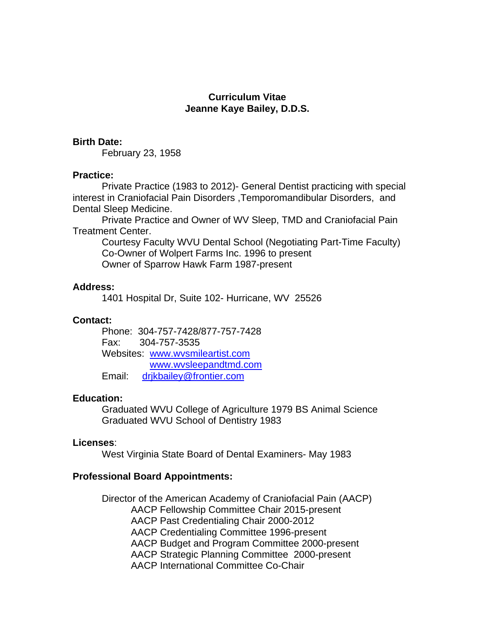## **Curriculum Vitae Jeanne Kaye Bailey, D.D.S.**

## **Birth Date:**

February 23, 1958

## **Practice:**

Private Practice (1983 to 2012)- General Dentist practicing with special interest in Craniofacial Pain Disorders ,Temporomandibular Disorders, and Dental Sleep Medicine.

Private Practice and Owner of WV Sleep, TMD and Craniofacial Pain Treatment Center.

Courtesy Faculty WVU Dental School (Negotiating Part-Time Faculty) Co-Owner of Wolpert Farms Inc. 1996 to present Owner of Sparrow Hawk Farm 1987-present

# **Address:**

1401 Hospital Dr, Suite 102- Hurricane, WV 25526

# **Contact:**

Phone: 304-757-7428/877-757-7428 Fax: 304-757-3535 Websites: [www.wvsmileartist.com](http://www.wvsmileartist.com/) [www.wvsleepandt](http://www.wvsleepand/)md.com Email: [drjkbailey@frontier.com](mailto:drjkbailey@verizon.net)

# **Education:**

Graduated WVU College of Agriculture 1979 BS Animal Science Graduated WVU School of Dentistry 1983

## **Licenses**:

West Virginia State Board of Dental Examiners- May 1983

# **Professional Board Appointments:**

Director of the American Academy of Craniofacial Pain (AACP) AACP Fellowship Committee Chair 2015-present AACP Past Credentialing Chair 2000-2012 AACP Credentialing Committee 1996-present AACP Budget and Program Committee 2000-present AACP Strategic Planning Committee 2000-present AACP International Committee Co-Chair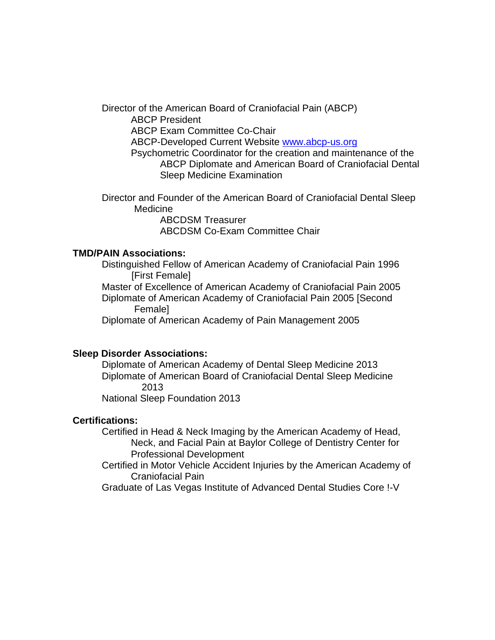Director of the American Board of Craniofacial Pain (ABCP) ABCP President ABCP Exam Committee Co-Chair ABCP-Developed Current Website [www.abcp-us.org](http://www.abcp-us.org/) Psychometric Coordinator for the creation and maintenance of the ABCP Diplomate and American Board of Craniofacial Dental Sleep Medicine Examination

Director and Founder of the American Board of Craniofacial Dental Sleep Medicine

ABCDSM Treasurer ABCDSM Co-Exam Committee Chair

# **TMD/PAIN Associations:**

Distinguished Fellow of American Academy of Craniofacial Pain 1996 [First Female]

Master of Excellence of American Academy of Craniofacial Pain 2005 Diplomate of American Academy of Craniofacial Pain 2005 [Second Female]

Diplomate of American Academy of Pain Management 2005

## **Sleep Disorder Associations:**

Diplomate of American Academy of Dental Sleep Medicine 2013 Diplomate of American Board of Craniofacial Dental Sleep Medicine 2013

National Sleep Foundation 2013

#### **Certifications:**

Certified in Head & Neck Imaging by the American Academy of Head, Neck, and Facial Pain at Baylor College of Dentistry Center for Professional Development

Certified in Motor Vehicle Accident Injuries by the American Academy of Craniofacial Pain

Graduate of Las Vegas Institute of Advanced Dental Studies Core !-V